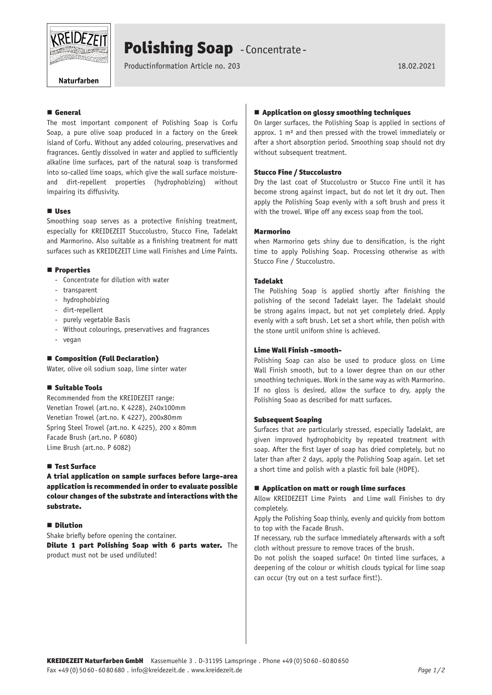

## Polishing Soap - Concentrate -

Productinformation Article no. 203 18.02.2021

Naturfarben

## **E** General

The most important component of Polishing Soap is Corfu Soap, a pure olive soap produced in a factory on the Greek island of Corfu. Without any added colouring, preservatives and fragrances. Gently dissolved in water and applied to sufficiently alkaline lime surfaces, part of the natural soap is transformed into so-called lime soaps, which give the wall surface moistureand dirt-repellent properties (hydrophobizing) without impairing its diffusivity.

## **Uses**

Smoothing soap serves as a protective finishing treatment, especially for KREIDEZEIT Stuccolustro, Stucco Fine, Tadelakt and Marmorino. Also suitable as a finishing treatment for matt surfaces such as KREIDEZEIT Lime wall Finishes and Lime Paints.

#### **Properties**

- Concentrate for dilution with water
- transparent
- hydrophobizing
- dirt-repellent
- purely vegetable Basis
- Without colourings, preservatives and fragrances
- vegan

## ■ Composition (Full Declaration)

Water, olive oil sodium soap, lime sinter water

#### Suitable Tools

Recommended from the KREIDEZEIT range: Venetian Trowel (art.no. K 4228), 240x100mm Venetian Trowel (art.no. K 4227), 200x80mm Spring Steel Trowel (art.no. K 4225), 200 x 80mm Facade Brush (art.no. P 6080) Lime Brush (art.no. P 6082)

## ■ Test Surface

A trial application on sample surfaces before large-area application is recommended in order to evaluate possible colour changes of the substrate and interactions with the substrate.

#### **Dilution**

Shake briefly before opening the container.

Dilute 1 part Polishing Soap with 6 parts water. The product must not be used undiluted!

## **E** Application on glossy smoothing techniques

On larger surfaces, the Polishing Soap is applied in sections of approx. 1 m² and then pressed with the trowel immediately or after a short absorption period. Smoothing soap should not dry without subsequent treatment.

## Stucco Fine / Stuccolustro

Dry the last coat of Stuccolustro or Stucco Fine until it has become strong against impact, but do not let it dry out. Then apply the Polishing Soap evenly with a soft brush and press it with the trowel. Wipe off any excess soap from the tool.

## Marmorino

when Marmorino gets shiny due to densification, is the right time to apply Polishing Soap. Processing otherwise as with Stucco Fine / Stuccolustro.

## Tadelakt

The Polishing Soap is applied shortly after finishing the polishing of the second Tadelakt layer. The Tadelakt should be strong agains impact, but not yet completely dried. Apply evenly with a soft brush. Let set a short while, then polish with the stone until uniform shine is achieved.

## Lime Wall Finish -smooth-

Polishing Soap can also be used to produce gloss on Lime Wall Finish smooth, but to a lower degree than on our other smoothing techniques. Work in the same way as with Marmorino. If no gloss is desired, allow the surface to dry, apply the Polishing Soao as described for matt surfaces.

#### Subsequent Soaping

Surfaces that are particularly stressed, especially Tadelakt, are given improved hydrophobicity by repeated treatment with soap. After the first layer of soap has dried completely, but no later than after 2 days, apply the Polishing Soap again. Let set a short time and polish with a plastic foil bale (HDPE).

#### **Application on matt or rough lime surfaces**

Allow KREIDEZEIT Lime Paints and Lime wall Finishes to dry completely.

Apply the Polishing Soap thinly, evenly and quickly from bottom to top with the Facade Brush.

If necessary, rub the surface immediately afterwards with a soft cloth without pressure to remove traces of the brush.

Do not polish the soaped surface! On tinted lime surfaces, a deepening of the colour or whitish clouds typical for lime soap can occur (try out on a test surface first!).